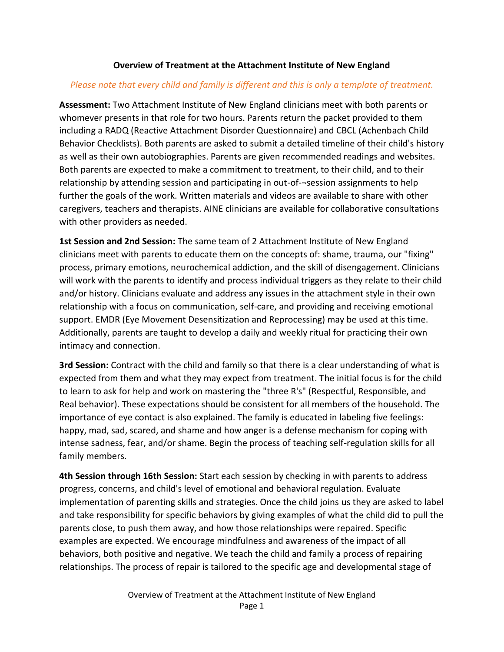## **Overview of Treatment at the Attachment Institute of New England**

## *Please note that every child and family is different and this is only a template of treatment.*

**Assessment:** Two Attachment Institute of New England clinicians meet with both parents or whomever presents in that role for two hours. Parents return the packet provided to them including a RADQ (Reactive Attachment Disorder Questionnaire) and CBCL (Achenbach Child Behavior Checklists). Both parents are asked to submit a detailed timeline of their child's history as well as their own autobiographies. Parents are given recommended readings and websites. Both parents are expected to make a commitment to treatment, to their child, and to their relationship by attending session and participating in out-of-¬session assignments to help further the goals of the work. Written materials and videos are available to share with other caregivers, teachers and therapists. AINE clinicians are available for collaborative consultations with other providers as needed.

**1st Session and 2nd Session:** The same team of 2 Attachment Institute of New England clinicians meet with parents to educate them on the concepts of: shame, trauma, our "fixing" process, primary emotions, neurochemical addiction, and the skill of disengagement. Clinicians will work with the parents to identify and process individual triggers as they relate to their child and/or history. Clinicians evaluate and address any issues in the attachment style in their own relationship with a focus on communication, self-care, and providing and receiving emotional support. EMDR (Eye Movement Desensitization and Reprocessing) may be used at this time. Additionally, parents are taught to develop a daily and weekly ritual for practicing their own intimacy and connection.

**3rd Session:** Contract with the child and family so that there is a clear understanding of what is expected from them and what they may expect from treatment. The initial focus is for the child to learn to ask for help and work on mastering the "three R's" (Respectful, Responsible, and Real behavior). These expectations should be consistent for all members of the household. The importance of eye contact is also explained. The family is educated in labeling five feelings: happy, mad, sad, scared, and shame and how anger is a defense mechanism for coping with intense sadness, fear, and/or shame. Begin the process of teaching self-regulation skills for all family members.

**4th Session through 16th Session:** Start each session by checking in with parents to address progress, concerns, and child's level of emotional and behavioral regulation. Evaluate implementation of parenting skills and strategies. Once the child joins us they are asked to label and take responsibility for specific behaviors by giving examples of what the child did to pull the parents close, to push them away, and how those relationships were repaired. Specific examples are expected. We encourage mindfulness and awareness of the impact of all behaviors, both positive and negative. We teach the child and family a process of repairing relationships. The process of repair is tailored to the specific age and developmental stage of